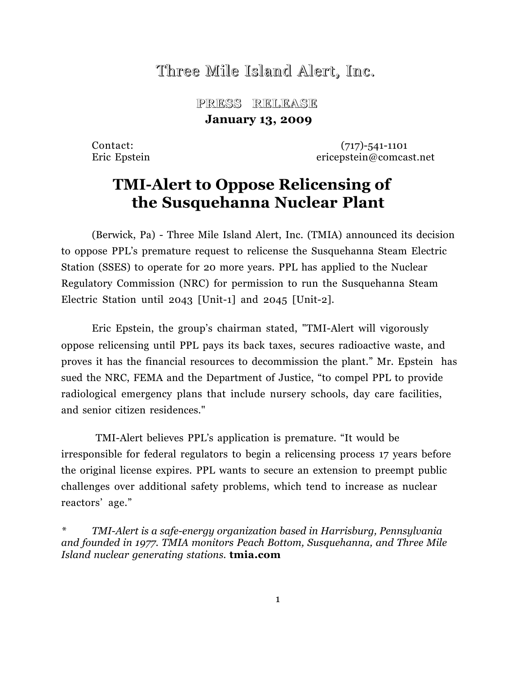# Three Mile Island Alert, Inc.

 **PRESS RELEASE RELEASE January 13, 2009**

Contact: (717)-541-1101 Eric Epstein ericepstein@comcast.net

# **TMI-Alert to Oppose Relicensing of the Susquehanna Nuclear Plant**

(Berwick, Pa) - Three Mile Island Alert, Inc. (TMIA) announced its decision to oppose PPL's premature request to relicense the Susquehanna Steam Electric Station (SSES) to operate for 20 more years. PPL has applied to the Nuclear Regulatory Commission (NRC) for permission to run the Susquehanna Steam Electric Station until 2043 [Unit-1] and 2045 [Unit-2].

Eric Epstein, the group's chairman stated, "TMI-Alert will vigorously oppose relicensing until PPL pays its back taxes, secures radioactive waste, and proves it has the financial resources to decommission the plant." Mr. Epstein has sued the NRC, FEMA and the Department of Justice, "to compel PPL to provide radiological emergency plans that include nursery schools, day care facilities, and senior citizen residences."

TMI-Alert believes PPL's application is premature. "It would be irresponsible for federal regulators to begin a relicensing process 17 years before the original license expires. PPL wants to secure an extension to preempt public challenges over additional safety problems, which tend to increase as nuclear reactors' age."

*\* TMI-Alert is a safe-energy organization based in Harrisburg, Pennsylvania and founded in 1977. TMIA monitors Peach Bottom, Susquehanna, and Three Mile Island nuclear generating stations.* **tmia.com**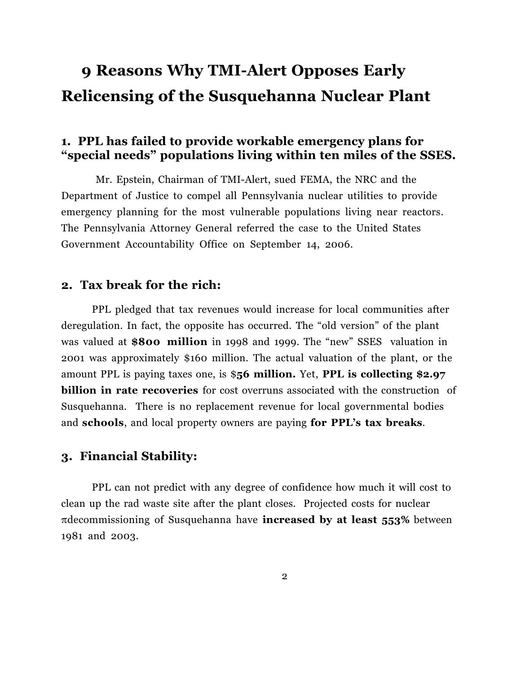# **9 Reasons Why TMI-Alert Opposes Early Relicensing of the Susquehanna Nuclear Plant**

# **1. PPL has failed to provide workable emergency plans for "special needs" populations living within ten miles of the SSES.**

Mr. Epstein, Chairman of TMI-Alert, sued FEMA, the NRC and the Department of Justice to compel all Pennsylvania nuclear utilities to provide emergency planning for the most vulnerable populations living near reactors. The Pennsylvania Attorney General referred the case to the United States Government Accountability Office on September 14, 2006.

#### **2. Tax break for the rich:**

PPL pledged that tax revenues would increase for local communities after deregulation. In fact, the opposite has occurred. The "old version" of the plant was valued at **\$800 million** in 1998 and 1999. The "new" SSES valuation in 2001 was approximately \$160 million. The actual valuation of the plant, or the amount PPL is paying taxes one, is \$**56 million.** Yet, **PPL is collecting \$2.97 billion in rate recoveries** for cost overruns associated with the construction of Susquehanna. There is no replacement revenue for local governmental bodies and **schools**, and local property owners are paying **for PPL's tax breaks**.

## **3. Financial Stability:**

PPL can not predict with any degree of confidence how much it will cost to clean up the rad waste site after the plant closes. Projected costs for nuclear !decommissioning of Susquehanna have **increased by at least 553%** between 1981 and 2003.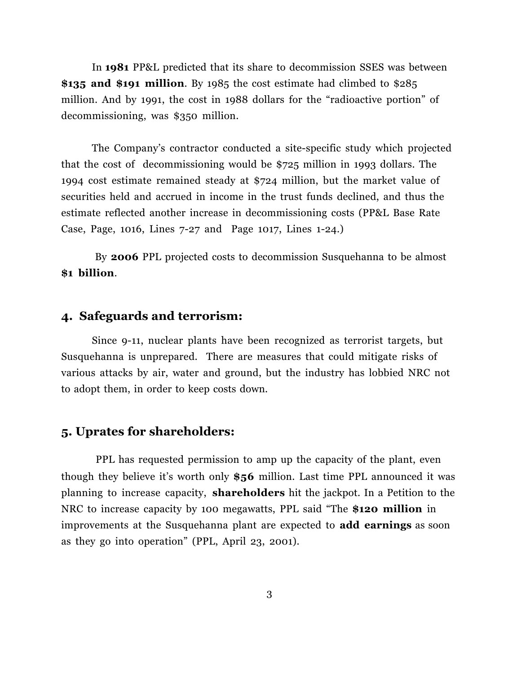In **1981** PP&L predicted that its share to decommission SSES was between **\$135 and \$191 million**. By 1985 the cost estimate had climbed to \$285 million. And by 1991, the cost in 1988 dollars for the "radioactive portion" of decommissioning, was \$350 million.

The Company's contractor conducted a site-specific study which projected that the cost of decommissioning would be \$725 million in 1993 dollars. The 1994 cost estimate remained steady at \$724 million, but the market value of securities held and accrued in income in the trust funds declined, and thus the estimate reflected another increase in decommissioning costs (PP&L Base Rate Case, Page, 1016, Lines 7-27 and Page 1017, Lines 1-24.)

By **2006** PPL projected costs to decommission Susquehanna to be almost **\$1 billion**.

# **4. Safeguards and terrorism:**

Since 9-11, nuclear plants have been recognized as terrorist targets, but Susquehanna is unprepared. There are measures that could mitigate risks of various attacks by air, water and ground, but the industry has lobbied NRC not to adopt them, in order to keep costs down.

### **5. Uprates for shareholders:**

PPL has requested permission to amp up the capacity of the plant, even though they believe it's worth only **\$56** million. Last time PPL announced it was planning to increase capacity, **shareholders** hit the jackpot. In a Petition to the NRC to increase capacity by 100 megawatts, PPL said "The **\$120 million** in improvements at the Susquehanna plant are expected to **add earnings** as soon as they go into operation" (PPL, April 23, 2001).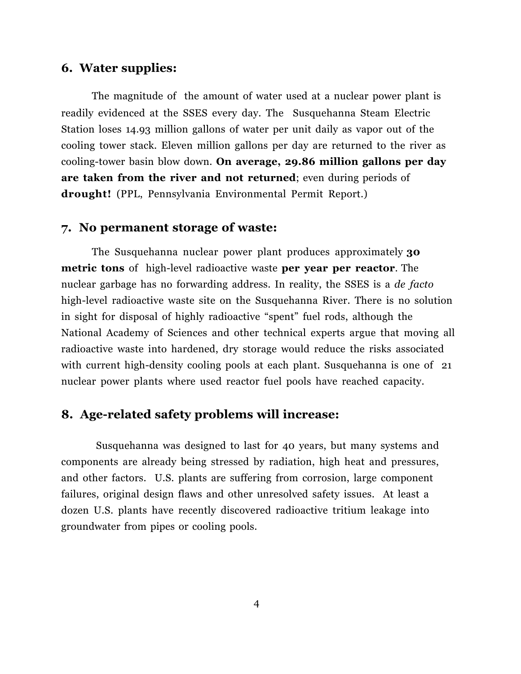### **6. Water supplies:**

The magnitude of the amount of water used at a nuclear power plant is readily evidenced at the SSES every day. The Susquehanna Steam Electric Station loses 14.93 million gallons of water per unit daily as vapor out of the cooling tower stack. Eleven million gallons per day are returned to the river as cooling-tower basin blow down. **On average, 29.86 million gallons per day are taken from the river and not returned**; even during periods of **drought!** (PPL, Pennsylvania Environmental Permit Report.)

#### **7. No permanent storage of waste:**

The Susquehanna nuclear power plant produces approximately **30 metric tons** of high-level radioactive waste **per year per reactor**. The nuclear garbage has no forwarding address. In reality, the SSES is a *de facto* high-level radioactive waste site on the Susquehanna River. There is no solution in sight for disposal of highly radioactive "spent" fuel rods, although the National Academy of Sciences and other technical experts argue that moving all radioactive waste into hardened, dry storage would reduce the risks associated with current high-density cooling pools at each plant. Susquehanna is one of 21 nuclear power plants where used reactor fuel pools have reached capacity.

#### **8. Age-related safety problems will increase:**

Susquehanna was designed to last for 40 years, but many systems and components are already being stressed by radiation, high heat and pressures, and other factors. U.S. plants are suffering from corrosion, large component failures, original design flaws and other unresolved safety issues. At least a dozen U.S. plants have recently discovered radioactive tritium leakage into groundwater from pipes or cooling pools.